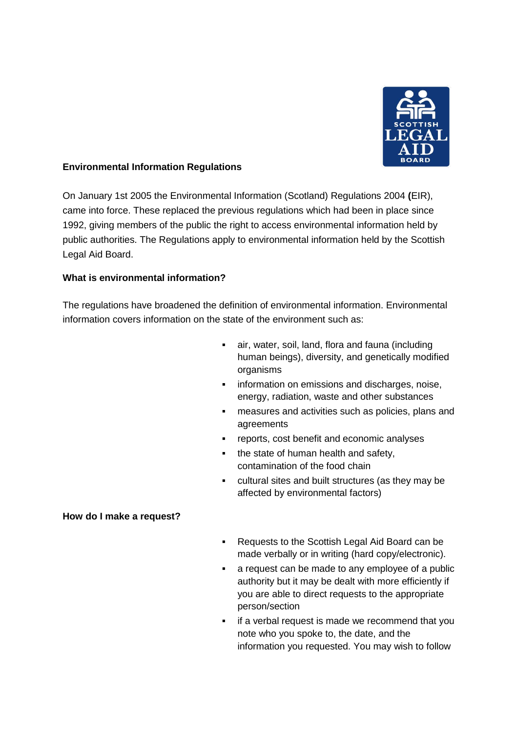

## **Environmental Information Regulations**

On January 1st 2005 the Environmental Information (Scotland) Regulations 2004 **(**EIR), came into force. These replaced the previous regulations which had been in place since 1992, giving members of the public the right to access environmental information held by public authorities. The Regulations apply to environmental information held by the Scottish Legal Aid Board.

#### **What is environmental information?**

The regulations have broadened the definition of environmental information. Environmental information covers information on the state of the environment such as:

- air, water, soil, land, flora and fauna (including human beings), diversity, and genetically modified organisms
- **information on emissions and discharges, noise,** energy, radiation, waste and other substances
- measures and activities such as policies, plans and agreements
- reports, cost benefit and economic analyses
- the state of human health and safety, contamination of the food chain
- cultural sites and built structures (as they may be affected by environmental factors)

#### **How do I make a request?**

- Requests to the Scottish Legal Aid Board can be made verbally or in writing (hard copy/electronic).
- a request can be made to any employee of a public authority but it may be dealt with more efficiently if you are able to direct requests to the appropriate person/section
- **F** if a verbal request is made we recommend that you note who you spoke to, the date, and the information you requested. You may wish to follow